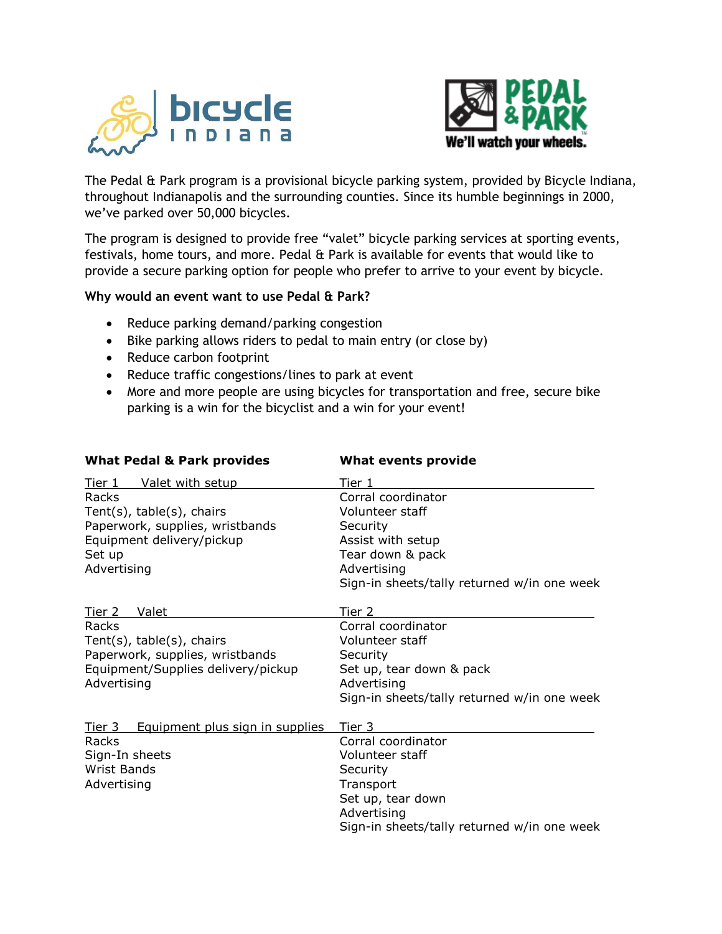



The Pedal & Park program is a provisional bicycle parking system, provided by Bicycle Indiana, throughout Indianapolis and the surrounding counties. Since its humble beginnings in 2000, we've parked over 50,000 bicycles.

The program is designed to provide free "valet" bicycle parking services at sporting events, festivals, home tours, and more. Pedal & Park is available for events that would like to provide a secure parking option for people who prefer to arrive to your event by bicycle.

## **Why would an event want to use Pedal & Park?**

- Reduce parking demand/parking congestion
- Bike parking allows riders to pedal to main entry (or close by)
- Reduce carbon footprint
- Reduce traffic congestions/lines to park at event
- More and more people are using bicycles for transportation and free, secure bike parking is a win for the bicyclist and a win for your event!

| <b>What Pedal &amp; Park provides</b>            | <b>What events provide</b>                  |  |
|--------------------------------------------------|---------------------------------------------|--|
| Valet with setup<br>Tier 1                       | Tier 1                                      |  |
| Racks                                            | Corral coordinator                          |  |
| Tent $(s)$ , table $(s)$ , chairs                | Volunteer staff                             |  |
| Paperwork, supplies, wristbands                  | Security                                    |  |
| Equipment delivery/pickup                        | Assist with setup                           |  |
| Set up                                           | Tear down & pack                            |  |
| Advertising                                      | Advertising                                 |  |
|                                                  | Sign-in sheets/tally returned w/in one week |  |
| Tier 2<br>Valet                                  | Tier 2                                      |  |
| Racks                                            | Corral coordinator                          |  |
| Tent $(s)$ , table $(s)$ , chairs                | Volunteer staff                             |  |
| Paperwork, supplies, wristbands                  | Security                                    |  |
| Equipment/Supplies delivery/pickup               | Set up, tear down & pack                    |  |
| Advertising                                      | Advertising                                 |  |
|                                                  | Sign-in sheets/tally returned w/in one week |  |
| Equipment plus sign in supplies<br><u>Tier 3</u> | Tier 3                                      |  |
| Racks                                            | Corral coordinator                          |  |
| Sign-In sheets                                   | Volunteer staff                             |  |
| <b>Wrist Bands</b>                               | Security                                    |  |
| Advertising                                      | Transport                                   |  |
|                                                  | Set up, tear down                           |  |
|                                                  | Advertising                                 |  |
|                                                  | Sign-in sheets/tally returned w/in one week |  |